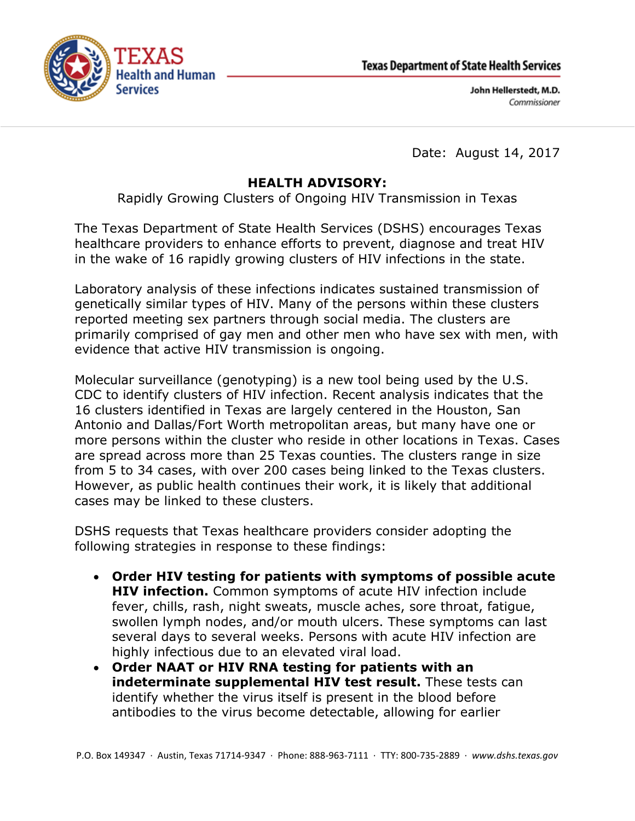



John Hellerstedt, M.D. Commissioner

Date: August 14, 2017

## **HEALTH ADVISORY:**

Rapidly Growing Clusters of Ongoing HIV Transmission in Texas

The Texas Department of State Health Services (DSHS) encourages Texas healthcare providers to enhance efforts to prevent, diagnose and treat HIV in the wake of 16 rapidly growing clusters of HIV infections in the state.

Laboratory analysis of these infections indicates sustained transmission of genetically similar types of HIV. Many of the persons within these clusters reported meeting sex partners through social media. The clusters are primarily comprised of gay men and other men who have sex with men, with evidence that active HIV transmission is ongoing.

Molecular surveillance (genotyping) is a new tool being used by the U.S. CDC to identify clusters of HIV infection. Recent analysis indicates that the 16 clusters identified in Texas are largely centered in the Houston, San Antonio and Dallas/Fort Worth metropolitan areas, but many have one or more persons within the cluster who reside in other locations in Texas. Cases are spread across more than 25 Texas counties. The clusters range in size from 5 to 34 cases, with over 200 cases being linked to the Texas clusters. However, as public health continues their work, it is likely that additional cases may be linked to these clusters.

DSHS requests that Texas healthcare providers consider adopting the following strategies in response to these findings:

- **Order HIV testing for patients with symptoms of possible acute HIV infection.** Common symptoms of acute HIV infection include fever, chills, rash, night sweats, muscle aches, sore throat, fatigue, swollen lymph nodes, and/or mouth ulcers. These symptoms can last several days to several weeks. Persons with acute HIV infection are highly infectious due to an elevated viral load.
- **Order NAAT or HIV RNA testing for patients with an indeterminate supplemental HIV test result.** These tests can identify whether the virus itself is present in the blood before antibodies to the virus become detectable, allowing for earlier